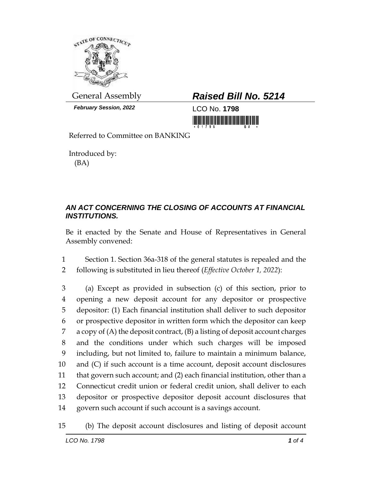

*February Session, 2022* LCO No. **1798**

## General Assembly *Raised Bill No. 5214*

<u> III di kacamatan ing Kabupatèn III di Kabupatèn III di Kabupatèn III di Kabupatèn III di Kabupatèn III di Ka</u>

Referred to Committee on BANKING

Introduced by: (BA)

## *AN ACT CONCERNING THE CLOSING OF ACCOUNTS AT FINANCIAL INSTITUTIONS.*

Be it enacted by the Senate and House of Representatives in General Assembly convened:

1 Section 1. Section 36a-318 of the general statutes is repealed and the 2 following is substituted in lieu thereof (*Effective October 1, 2022*):

 (a) Except as provided in subsection (c) of this section, prior to opening a new deposit account for any depositor or prospective depositor: (1) Each financial institution shall deliver to such depositor or prospective depositor in written form which the depositor can keep a copy of (A) the deposit contract, (B) a listing of deposit account charges and the conditions under which such charges will be imposed including, but not limited to, failure to maintain a minimum balance, and (C) if such account is a time account, deposit account disclosures that govern such account; and (2) each financial institution, other than a Connecticut credit union or federal credit union, shall deliver to each depositor or prospective depositor deposit account disclosures that govern such account if such account is a savings account.

15 (b) The deposit account disclosures and listing of deposit account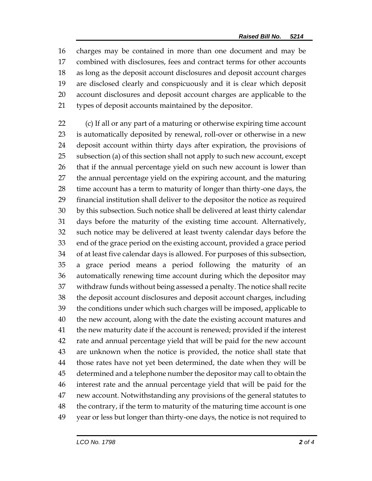charges may be contained in more than one document and may be combined with disclosures, fees and contract terms for other accounts as long as the deposit account disclosures and deposit account charges are disclosed clearly and conspicuously and it is clear which deposit account disclosures and deposit account charges are applicable to the types of deposit accounts maintained by the depositor.

 (c) If all or any part of a maturing or otherwise expiring time account is automatically deposited by renewal, roll-over or otherwise in a new deposit account within thirty days after expiration, the provisions of subsection (a) of this section shall not apply to such new account, except that if the annual percentage yield on such new account is lower than the annual percentage yield on the expiring account, and the maturing time account has a term to maturity of longer than thirty-one days, the financial institution shall deliver to the depositor the notice as required by this subsection. Such notice shall be delivered at least thirty calendar days before the maturity of the existing time account. Alternatively, such notice may be delivered at least twenty calendar days before the end of the grace period on the existing account, provided a grace period of at least five calendar days is allowed. For purposes of this subsection, a grace period means a period following the maturity of an automatically renewing time account during which the depositor may withdraw funds without being assessed a penalty. The notice shall recite the deposit account disclosures and deposit account charges, including the conditions under which such charges will be imposed, applicable to the new account, along with the date the existing account matures and the new maturity date if the account is renewed; provided if the interest rate and annual percentage yield that will be paid for the new account are unknown when the notice is provided, the notice shall state that those rates have not yet been determined, the date when they will be determined and a telephone number the depositor may call to obtain the interest rate and the annual percentage yield that will be paid for the new account. Notwithstanding any provisions of the general statutes to the contrary, if the term to maturity of the maturing time account is one year or less but longer than thirty-one days, the notice is not required to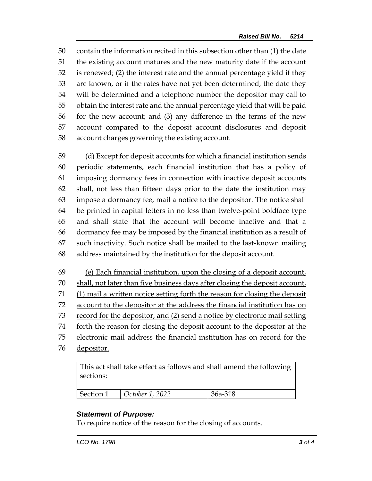contain the information recited in this subsection other than (1) the date the existing account matures and the new maturity date if the account is renewed; (2) the interest rate and the annual percentage yield if they are known, or if the rates have not yet been determined, the date they will be determined and a telephone number the depositor may call to obtain the interest rate and the annual percentage yield that will be paid for the new account; and (3) any difference in the terms of the new account compared to the deposit account disclosures and deposit account charges governing the existing account.

 (d) Except for deposit accounts for which a financial institution sends periodic statements, each financial institution that has a policy of imposing dormancy fees in connection with inactive deposit accounts shall, not less than fifteen days prior to the date the institution may impose a dormancy fee, mail a notice to the depositor. The notice shall be printed in capital letters in no less than twelve-point boldface type and shall state that the account will become inactive and that a dormancy fee may be imposed by the financial institution as a result of such inactivity. Such notice shall be mailed to the last-known mailing address maintained by the institution for the deposit account.

 (e) Each financial institution, upon the closing of a deposit account, 70 shall, not later than five business days after closing the deposit account, (1) mail a written notice setting forth the reason for closing the deposit account to the depositor at the address the financial institution has on record for the depositor, and (2) send a notice by electronic mail setting 74 forth the reason for closing the deposit account to the depositor at the electronic mail address the financial institution has on record for the depositor.

This act shall take effect as follows and shall amend the following sections:

| Section 1 $\bigcup$ October 1, 2022 | 36a-318 |
|-------------------------------------|---------|

## *Statement of Purpose:*

To require notice of the reason for the closing of accounts.